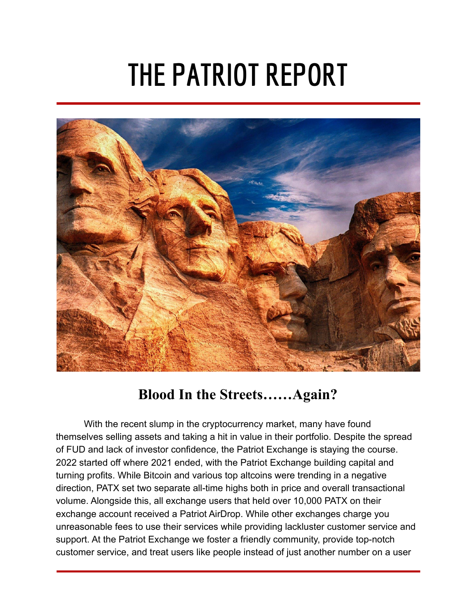## **THE PATRIOT REPORT**



## **Blood In the Streets……Again?**

With the recent slump in the cryptocurrency market, many have found themselves selling assets and taking a hit in value in their portfolio. Despite the spread of FUD and lack of investor confidence, the Patriot Exchange is staying the course. 2022 started off where 2021 ended, with the Patriot Exchange building capital and turning profits. While Bitcoin and various top altcoins were trending in a negative direction, PATX set two separate all-time highs both in price and overall transactional volume. Alongside this, all exchange users that held over 10,000 PATX on their exchange account received a Patriot AirDrop. While other exchanges charge you unreasonable fees to use their services while providing lackluster customer service and support. At the Patriot Exchange we foster a friendly community, provide top-notch customer service, and treat users like people instead of just another number on a user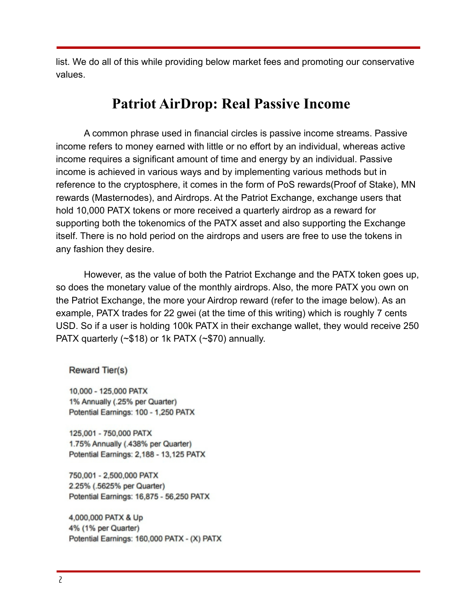list. We do all of this while providing below market fees and promoting our conservative values.

## **Patriot AirDrop: Real Passive Income**

A common phrase used in financial circles is passive income streams. Passive income refers to money earned with little or no effort by an individual, whereas active income requires a significant amount of time and energy by an individual. Passive income is achieved in various ways and by implementing various methods but in reference to the cryptosphere, it comes in the form of PoS rewards(Proof of Stake), MN rewards (Masternodes), and Airdrops. At the Patriot Exchange, exchange users that hold 10,000 PATX tokens or more received a quarterly airdrop as a reward for supporting both the tokenomics of the PATX asset and also supporting the Exchange itself. There is no hold period on the airdrops and users are free to use the tokens in any fashion they desire.

However, as the value of both the Patriot Exchange and the PATX token goes up, so does the monetary value of the monthly airdrops. Also, the more PATX you own on the Patriot Exchange, the more your Airdrop reward (refer to the image below). As an example, PATX trades for 22 gwei (at the time of this writing) which is roughly 7 cents USD. So if a user is holding 100k PATX in their exchange wallet, they would receive 250 PATX quarterly (~\$18) or 1k PATX (~\$70) annually.

Reward Tier(s)

10,000 - 125,000 PATX 1% Annually (.25% per Quarter) Potential Earnings: 100 - 1,250 PATX

125,001 - 750,000 PATX 1.75% Annually (.438% per Quarter) Potential Earnings: 2,188 - 13,125 PATX

750,001 - 2,500,000 PATX 2.25% (.5625% per Quarter) Potential Earnings: 16,875 - 56,250 PATX

4,000,000 PATX & Up 4% (1% per Quarter) Potential Earnings: 160,000 PATX - (X) PATX